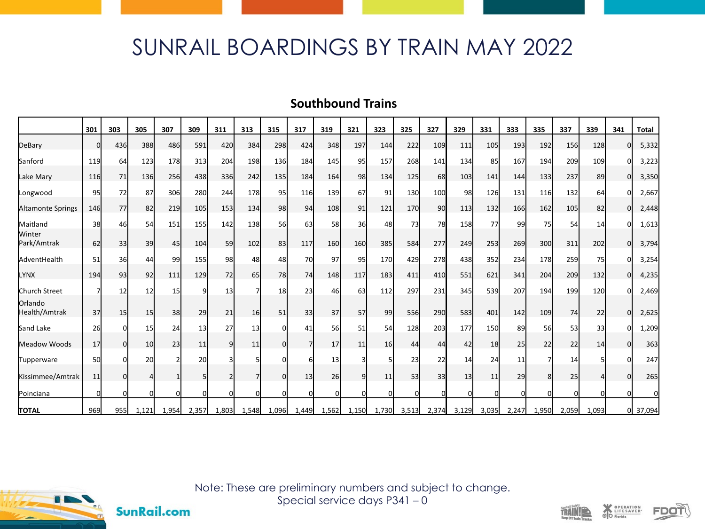## SUNRAIL BOARDINGS BY TRAIN MAY 2022

## **Southbound Trains**

|                          | 301      | 303      | 305         | 307      | 309   | 311            | 313   | 315   | 317      | 319   | 321   | 323             | 325   | 327   | 329   | 331   | 333      | 335   | 337   | 339   | 341 | <b>Total</b> |
|--------------------------|----------|----------|-------------|----------|-------|----------------|-------|-------|----------|-------|-------|-----------------|-------|-------|-------|-------|----------|-------|-------|-------|-----|--------------|
| DeBary                   | n        | 436      | <b>388</b>  | 486      | 591   | 420            | 384   | 298   | 424      | 348   | 197   | 144             | 222   | 109   | 111   | 105   | 193      | 192   | 156   | 128   | ŋ   | 5,332        |
| Sanford                  | 119      | 64       | 123         | 178      | 313   | 204            | 198   | 136   | 184      | 145   | 95    | 157             | 268   | 141   | 134   | 85    | 167      | 194   | 209   | 109   |     | 3,223        |
| Lake Mary                | 116      | 71       | <b>136</b>  | 256      | 438   | <b>336</b>     | 242   | 135   | 184      | 164   | 98    | 134             | 125   | 68    | 103   | 141   | 144      | 133   | 237   | 89    | O   | 3,350        |
| Longwood                 | 95       | 72       | 87          | 306      | 280   | 244            | 178   | 95    | 116      | 139   | 67    | 91              | 130   | 100   | 98    | 126   | 131      | 116   | 132   | 64    | U   | 2,667        |
| Altamonte Springs        | 146      | 77       | 82          | 219      | 105   | 153            | 134   | 98    | 94       | 108   | 91    | 121             | 170   | 90    | 113   | 132   | 166      | 162   | 105   | 82    | Οl  | 2,448        |
| Maitland                 | 38       | 46       | 54          | 151      | 155   | 142            | 138   | 56    | 63       | 58    | 36    | 48              | 73    | 78    | 158   | 77    | 99       | 75    | 54    | 14    | U   | 1,613        |
| Winter<br>Park/Amtrak    | 62       | 33       | 39          | 45       | 104   | 59             | 102   | 83    | 117      | 160   | 160   | 385             | 584   | 277   | 249   | 253   | 269      | 300   | 311   | 202   | O   | 3,794        |
| AdventHealth             | 51       | 36       | 44          | 99       | 155   | 98             | 48    | 48    | 70       | 97    | 95    | 170             | 429   | 278   | 438   | 352   | 234      | 178   | 259   | 75    |     | 3,254        |
| <b>LYNX</b>              | 194      | 93       | 92          | 111      | 129   | 72             | 65    | 78    | 74       | 148   | 117   | 183             | 411   | 410   | 551   | 621   | 341      | 204   | 209   | 132   | 0   | 4,235        |
| Church Street            |          | 12       | 12          | 15       |       | 13             |       | 18    | 23       | 46    | 63    | 112             | 297   | 231   | 345   | 539   | 207      | 194   | 199   | 120   |     | 2,469        |
| Orlando<br>Health/Amtrak | 37       | 15       | 15          | 38       | 29    | 21             | 16    | 51    | 33       | 37    | 57    | 99              | 556   | 290   | 583   | 401   | 142      | 109   | 74    | 22    | O   | 2,625        |
| Sand Lake                | 26       |          | 15          | 24       | 13    | 27             | 13    |       | 41       | 56    | 51    | 54              | 128   | 203   | 177   | 150   | 89       | 56    | 53    | 33    |     | 1,209        |
| Meadow Woods             | 17       | Οl       | 10          | 23       | 11    | 9 <sub>l</sub> | 11    |       | 7        | 17    | 11    | 16 <sup>l</sup> | 44    | 44    | 42    | 18    | 25       | 22    | 22    | 14    |     | 363          |
| Tupperware               | 50       |          | 20          |          | 20    |                |       |       | 6        | 13    |       |                 | 23    | 22    | 14    | 24    | 11       |       | 14    |       |     | 247          |
| Kissimmee/Amtrak         | 11       | $\Omega$ | 4           |          |       |                |       |       | 13       | 26    | q     | 11              | 53    | 33    | 13    | 11    | 29       | 8     | 25    |       |     | 265          |
| Poinciana                | $\Omega$ |          | $\mathbf 0$ | $\Omega$ |       |                |       |       | $\Omega$ | n     | n     |                 |       | U     |       |       | $\Omega$ |       |       |       |     | 0            |
| <b>TOTAL</b>             | 969      | 955      | 1,121       | 1,954    | 2,357 | 1,803          | 1,548 | 1,096 | 1,449    | 1,562 | 1,150 | 1,730           | 3,513 | 2,374 | 3,129 | 3,035 | 2,247    | 1,950 | 2,059 | 1,093 |     | 37,094       |



**SunRail.com** 

Note: These are preliminary numbers and subject to change. Special service days P341 – 0